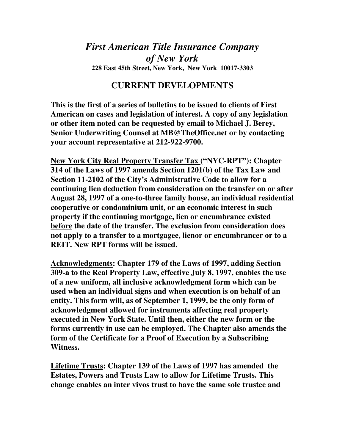## *First American Title Insurance Company of New York*  **228 East 45th Street, New York, New York 10017-3303**

## **CURRENT DEVELOPMENTS**

**This is the first of a series of bulletins to be issued to clients of First American on cases and legislation of interest. A copy of any legislation or other item noted can be requested by email to Michael J. Berey, Senior Underwriting Counsel at MB@TheOffice.net or by contacting your account representative at 212-922-9700.** 

**New York City Real Property Transfer Tax ("NYC-RPT"): Chapter 314 of the Laws of 1997 amends Section 1201(b) of the Tax Law and Section 11-2102 of the City's Administrative Code to allow for a continuing lien deduction from consideration on the transfer on or after August 28, 1997 of a one-to-three family house, an individual residential cooperative or condominium unit, or an economic interest in such property if the continuing mortgage, lien or encumbrance existed before the date of the transfer. The exclusion from consideration does not apply to a transfer to a mortgagee, lienor or encumbrancer or to a REIT. New RPT forms will be issued.** 

**Acknowledgments: Chapter 179 of the Laws of 1997, adding Section 309-a to the Real Property Law, effective July 8, 1997, enables the use of a new uniform, all inclusive acknowledgment form which can be used when an individual signs and when execution is on behalf of an entity. This form will, as of September 1, 1999, be the only form of acknowledgment allowed for instruments affecting real property executed in New York State. Until then, either the new form or the forms currently in use can be employed. The Chapter also amends the form of the Certificate for a Proof of Execution by a Subscribing Witness.** 

**Lifetime Trusts: Chapter 139 of the Laws of 1997 has amended the Estates, Powers and Trusts Law to allow for Lifetime Trusts. This change enables an inter vivos trust to have the same sole trustee and**